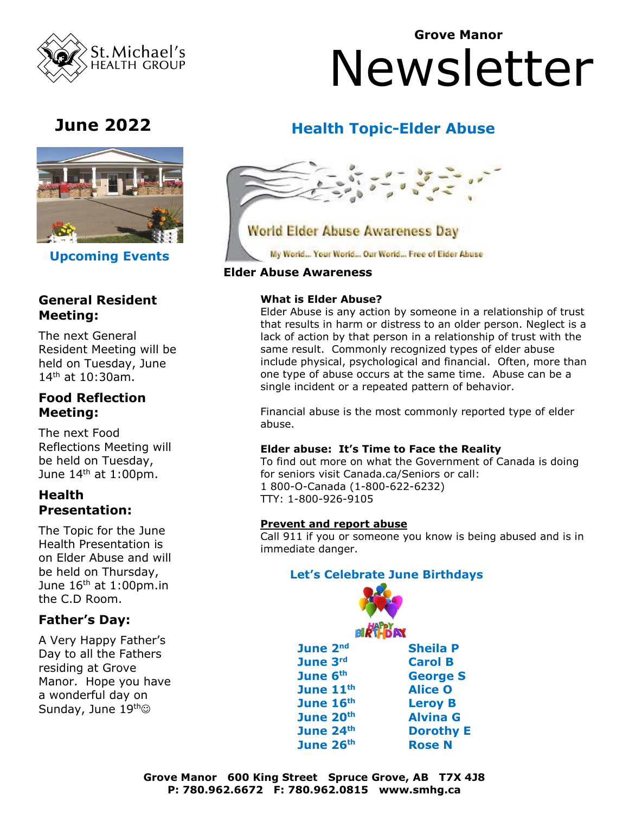

**Grove Manor**

# Newsletter



 **Upcoming Events** 

# **ents General Resident Meeting:**

The next General Resident Meeting will be held on Tuesday, June 14 th at 10:30am.

#### **Food Reflection Meeting:**

The next Food Reflections Meeting will be held on Tuesday, June 14<sup>th</sup> at 1:00pm.

#### **Health Presentation:**

The Topic for the June Health Presentation is on Elder Abuse and will be held on Thursday, June  $16<sup>th</sup>$  at 1:00pm.in the C.D Room.

### **Father's Day:**

A Very Happy Father's Day to all the Fathers residing at Grove Manor. Hope you have a wonderful day on Sunday, June 19th<sup>®</sup>

## **June 2022 Health Topic-Elder Abuse**



My World... Your World... Our World... Free of Eider Abuse

#### **Elder Abuse Awareness**

#### **What is Elder Abuse?**

Elder Abuse is any action by someone in a relationship of trust that results in harm or distress to an older person. Neglect is a lack of action by that person in a relationship of trust with the same result. Commonly recognized types of elder abuse include physical, psychological and financial. Often, more than one type of abuse occurs at the same time. Abuse can be a single incident or a repeated pattern of behavior.

Financial abuse is the most commonly reported type of elder abuse.

#### **Elder abuse: It's Time to Face the Reality**

To find out more on what the Government of Canada is doing for seniors visit Canada.ca/Seniors or call: 1 800-O-Canada (1-800-622-6232) TTY: 1-800-926-9105

#### **Prevent and report abuse**

Call 911 if you or someone you know is being abused and is in immediate danger.

#### **Let's Celebrate June Birthdays**

| BIRT-DAY         |
|------------------|
| <b>Sheila P</b>  |
| <b>Carol B</b>   |
| <b>George S</b>  |
| <b>Alice O</b>   |
| <b>Leroy B</b>   |
| <b>Alvina G</b>  |
| <b>Dorothy E</b> |
| <b>Rose N</b>    |
|                  |